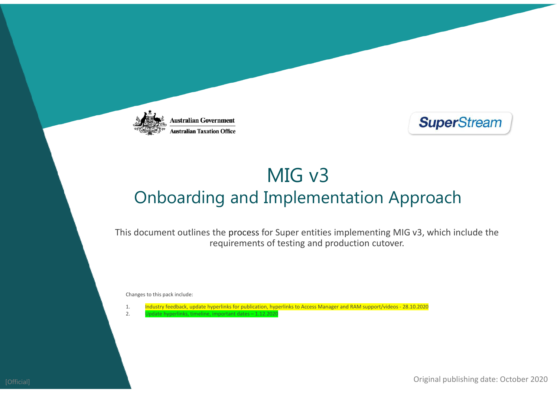



# MIG v3Onboarding and Implementation Approach

This document outlines the process for Super entities implementing MIG v3, which include the requirements of testing and production cutover.

Changes to this pack include:

1. Industry feedback, update hyperlinks for publication, hyperlinks to Access Manager and RAM support/videos - 28.10.2020<br>2. Dudate hyperlinks, timeline, important dates – 1.12.2020

Jpdate hyperlinks, timeline, important dates - 1.12.202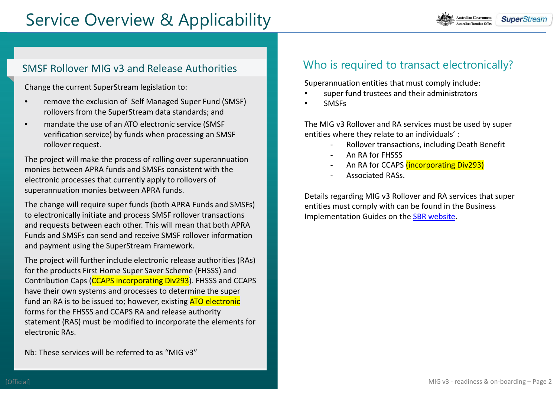# Service Overview & Applicability

#### SMSF Rollover MIG v3 and Release Authorities

Change the current SuperStream legislation to:

- • remove the exclusion of Self Managed Super Fund (SMSF) rollovers from the SuperStream data standards; and
- • mandate the use of an ATO electronic service (SMSF verification service) by funds when processing an SMSF rollover request.

The project will make the process of rolling over superannuation monies between APRA funds and SMSFs consistent with the electronic processes that currently apply to rollovers of superannuation monies between APRA funds.

The change will require super funds (both APRA Funds and SMSFs) to electronically initiate and process SMSF rollover transactions and requests between each other. This will mean that both APRA Funds and SMSFs can send and receive SMSF rollover information and payment using the SuperStream Framework.

The project will further include electronic release authorities (RAs) for the products First Home Super Saver Scheme (FHSSS) and Contribution Caps (CCAPS incorporating Div293). FHSSS and CCAPS have their own systems and processes to determine the super fund an RA is to be issued to; however, existing **ATO electronic** forms for the FHSSS and CCAPS RA and release authority statement (RAS) must be modified to incorporate the elements for electronic RAs.

#### Superannuation entities that must comply include:•super fund trustees and their administrators

•

The MIG v3 Rollover and RA services must be used by super entities where they relate to an individuals' :

Who is required to transact electronically?

- -Rollover transactions, including Death Benefit
- -An RA for FHSSS

**SMSFs** 

- -An RA for CCAPS (incorporating Div293)
- -Associated RASs.

Details regarding MIG v3 Rollover and RA services that super entities must comply with can be found in the Business Implementation Guides on the SBR website.

Nb: These services will be referred to as "MIG v3"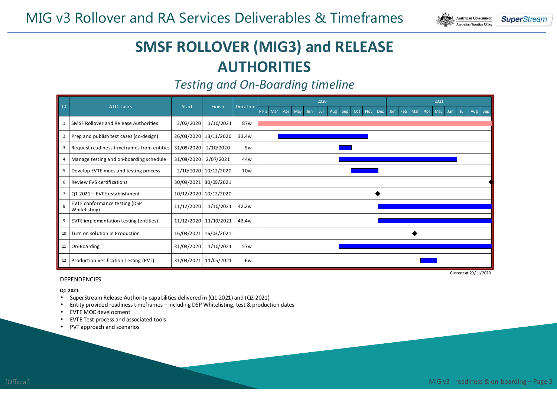

### **SMSF ROLLOVER (MIG3) and RELEASE AUTHORITIES**

#### *Testing and On-Boarding timeline*

| ID              | <b>ATO Tasks</b>                               | <b>Start</b> | Finish                | <b>Duration</b> | 2020                                                                       | 2021                                                               |
|-----------------|------------------------------------------------|--------------|-----------------------|-----------------|----------------------------------------------------------------------------|--------------------------------------------------------------------|
|                 |                                                |              |                       |                 | Feb<br>Jul.<br>Sep<br>Oct<br>Dec<br>Mar<br>Apr<br>May<br>Nov<br>Jun<br>Aug | Feb<br>Jan<br>Mar<br>May<br>Aug<br>Sep<br>Apr<br>Jul<br><b>Jun</b> |
|                 | <b>SMSF Rollover and Release Authorities</b>   | 3/02/2020    | 1/10/2021             | 87w             |                                                                            |                                                                    |
| 2               | Prep and publish test cases (co-design)        | 26/03/2020   | 13/11/2020            | 33.4w           |                                                                            |                                                                    |
| 3               | Request readiness timeframes from entities     | 31/08/2020   | 2/10/2020             | 5w              |                                                                            |                                                                    |
| 4               | Manage testing and on-boarding schedule        | 31/08/2020   | 2/07/2021             | 44w             |                                                                            |                                                                    |
| 5               | Develop EVTE mocs and testing process          |              | 2/10/2020 10/12/2020  | 10w             |                                                                            |                                                                    |
| 6               | Review FVS certifications                      | 30/09/2021   | 30/09/2021            |                 |                                                                            |                                                                    |
|                 | Q1 2021 - EVTE establishment                   |              | 10/12/2020 10/12/2020 |                 |                                                                            |                                                                    |
| 8               | EVTE conformance testing (DSP<br>Whitelisting) | 11/12/2020   | 1/10/2021             | 42.2w           |                                                                            |                                                                    |
| 9               | EVTE implementation testing (entities)         | 11/12/2020   | 11/10/2021            | 43.4w           |                                                                            |                                                                    |
| 10              | Turn on solution in Production                 | 16/03/2021   | 16/03/2021            |                 |                                                                            |                                                                    |
| 11 <sup>1</sup> | On-Boarding                                    | 31/08/2020   | 1/10/2021             | 57w             |                                                                            |                                                                    |
| 12              | Production Verification Testing (PVT)          | 31/03/2021   | 11/05/2021            | 6w              |                                                                            |                                                                    |

#### **DEPENDENCIES**

**Q1 2021**

- SuperStream Release Authority capabilities delivered in (Q1 2021) and (Q2 2021)
- Entity provided readiness timeframes including DSP Whitelisting, test & production dates
- EVTE MOC development
- EVTE Test process and associated tools
- PVT approach and scenarios

Current at 29/11/2020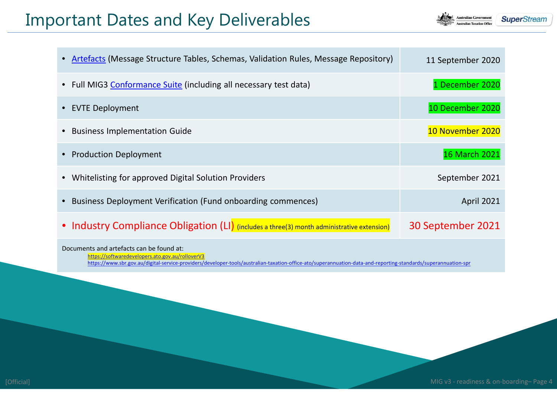### Important Dates and Key Deliverables

**Australian Government SuperStream** Australian Taxation Office

| • Artefacts (Message Structure Tables, Schemas, Validation Rules, Message Repository)      | 11 September 2020    |  |  |  |  |
|--------------------------------------------------------------------------------------------|----------------------|--|--|--|--|
| • Full MIG3 Conformance Suite (including all necessary test data)                          | 1 December 2020      |  |  |  |  |
| <b>EVTE Deployment</b>                                                                     | 10 December 2020     |  |  |  |  |
| <b>Business Implementation Guide</b>                                                       | 10 November 2020     |  |  |  |  |
| <b>Production Deployment</b>                                                               | <b>16 March 2021</b> |  |  |  |  |
| • Whitelisting for approved Digital Solution Providers                                     | September 2021       |  |  |  |  |
| Business Deployment Verification (Fund onboarding commences)                               | <b>April 2021</b>    |  |  |  |  |
| • Industry Compliance Obligation (LI) (includes a three(3) month administrative extension) | 30 September 2021    |  |  |  |  |
| Documents and artefacts can be found at:                                                   |                      |  |  |  |  |

https://softwaredevelopers.ato.gov.au/rolloverV3https://www.sbr.gov.au/digital-service-providers/developer-tools/australian-taxation-office-ato/superannuation-data-and-reporting-standards/superannuation-spr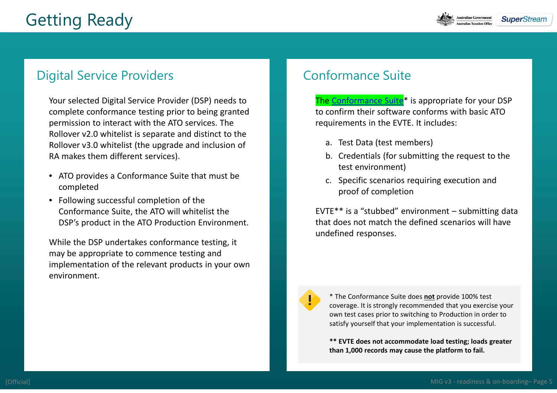Australian Government

**SuperStreat** 

## Getting Ready

### Digital Service Providers

Your selected Digital Service Provider (DSP) needs to complete conformance testing prior to being grantedpermission to interact with the ATO services. The Rollover v2.0 whitelist is separate and distinct to the Rollover v3.0 whitelist (the upgrade and inclusion of RA makes them different services).

- ATO provides a Conformance Suite that must be completed
- Following successful completion of the Conformance Suite, the ATO will whitelist the DSP's product in the ATO Production Environment.

While the DSP undertakes conformance testing, it may be appropriate to commence testing and implementation of the relevant products in your ownenvironment.

### Conformance Suite

The Conformance Suite<sup>\*</sup> is appropriate for your DSP to confirm their software conforms with basic ATO requirements in the EVTE. It includes:

- a. Test Data (test members)
- b. Credentials (for submitting the request to the test environment)
- c. Specific scenarios requiring execution and proof of completion

EVTE\*\* is a "stubbed" environment – submitting data that does not match the defined scenarios will haveundefined responses.

\* The Conformance Suite does **not** provide 100% test coverage. It is strongly recommended that you exercise your own test cases prior to switching to Production in order to satisfy yourself that your implementation is successful.

**\*\* EVTE does not accommodate load testing; loads greater than 1,000 records may cause the platform to fail.**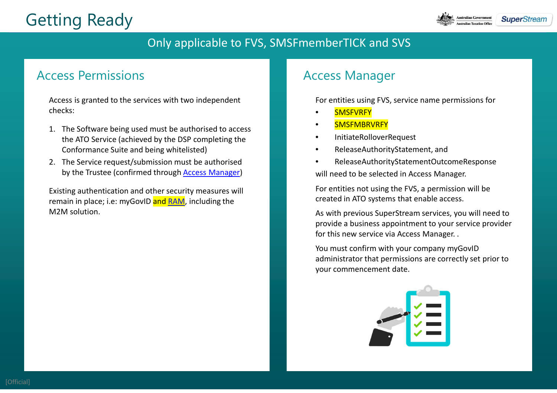# Getting Ready



#### Only applicable to FVS, SMSFmemberTICK and SVS

#### Access Permissions

Access is granted to the services with two independent checks:

- 1. The Software being used must be authorised to access the ATO Service (achieved by the DSP completing theConformance Suite and being whitelisted)
- 2. The Service request/submission must be authorisedby the Trustee (confirmed through <u>Access Manager</u>)

Existing authentication and other security measures will remain in place; i.e: myGovID and RAM, including the M2M solution.

#### Access Manager

For entities using FVS, service name permissions for

- •**SMSFVRFY**
- •**SMSFMBRVRFY**
- •**InitiateRolloverRequest**
- •ReleaseAuthorityStatement, and
- • ReleaseAuthorityStatementOutcomeResponsewill need to be selected in Access Manager.

For entities not using the FVS, a permission will be created in ATO systems that enable access.

As with previous SuperStream services, you will need to provide a business appointment to your service provider for this new service via Access Manager. .

You must confirm with your company myGovID administrator that permissions are correctly set prior to your commencement date.

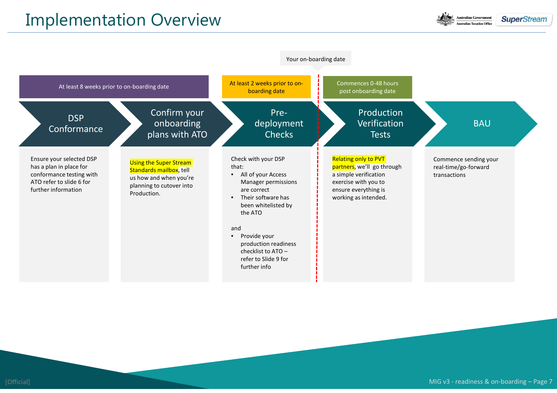### Implementation Overview

**Australian Government Australian Taxation Office** 

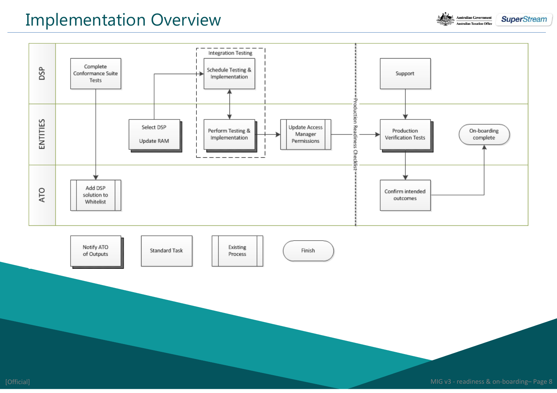### Implementation Overview



**SuperStream** 

**Australian Government Australian Taxation Office**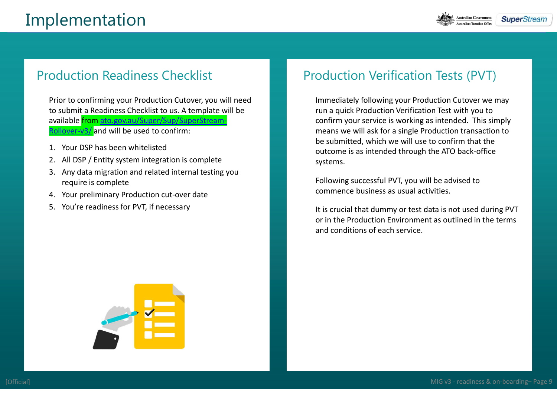### Implementation

**Australian Government SuperStream** 

### Production Readiness Checklist

Prior to confirming your Production Cutover, you will need to submit a Readiness Checklist to us. A template will be available from ato.gov.au/Super/Sup/SuperStream-Rollover-v3/ and will be used to confirm:

- 1. Your DSP has been whitelisted
- 2. All DSP / Entity system integration is complete
- 3. Any data migration and related internal testing you require is complete
- 4. Your preliminary Production cut-over date
- 5. You're readiness for PVT, if necessary

### Production Verification Tests (PVT)

Immediately following your Production Cutover we may run a quick Production Verification Test with you to confirm your service is working as intended. This simply means we will ask for a single Production transaction to be submitted, which we will use to confirm that the outcome is as intended through the ATO back-office systems.

Following successful PVT, you will be advised to commence business as usual activities.

It is crucial that dummy or test data is not used during PVT or in the Production Environment as outlined in the terms and conditions of each service.